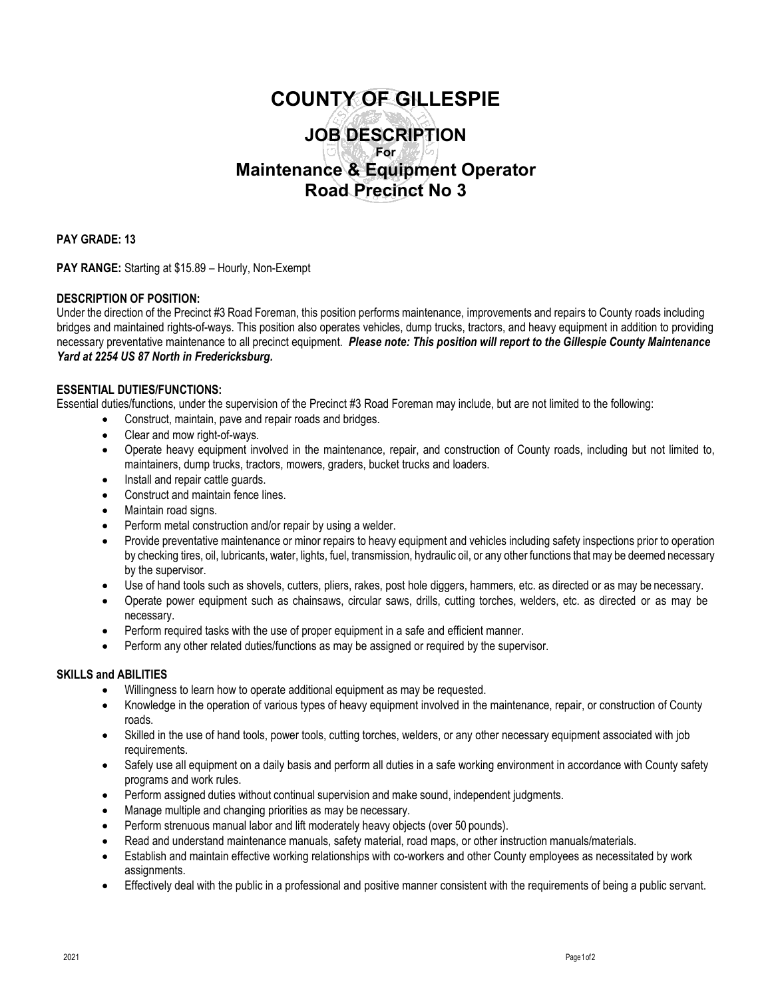# **COUNTY OF GILLESPIE JOB DESCRIPTION For Maintenance & Equipment Operator Road Precinct No 3**

**PAY GRADE: 13**

**PAY RANGE:** Starting at \$15.89 – Hourly, Non-Exempt

## **DESCRIPTION OF POSITION:**

Under the direction of the Precinct #3 Road Foreman, this position performs maintenance, improvements and repairs to County roads including bridges and maintained rights-of-ways. This position also operates vehicles, dump trucks, tractors, and heavy equipment in addition to providing necessary preventative maintenance to all precinct equipment. *Please note: This position will report to the Gillespie County Maintenance Yard at 2254 US 87 North in Fredericksburg.*

#### **ESSENTIAL DUTIES/FUNCTIONS:**

Essential duties/functions, under the supervision of the Precinct #3 Road Foreman may include, but are not limited to the following:

- Construct, maintain, pave and repair roads and bridges.
- Clear and mow right-of-ways.
- Operate heavy equipment involved in the maintenance, repair, and construction of County roads, including but not limited to, maintainers, dump trucks, tractors, mowers, graders, bucket trucks and loaders.
- Install and repair cattle guards.
- Construct and maintain fence lines.
- Maintain road signs.
- Perform metal construction and/or repair by using a welder.
- Provide preventative maintenance or minor repairs to heavy equipment and vehicles including safety inspections prior to operation by checking tires, oil, lubricants, water, lights, fuel, transmission, hydraulic oil, or any other functions that may be deemed necessary by the supervisor.
- Use of hand tools such as shovels, cutters, pliers, rakes, post hole diggers, hammers, etc. as directed or as may be necessary.
- Operate power equipment such as chainsaws, circular saws, drills, cutting torches, welders, etc. as directed or as may be necessary.
- Perform required tasks with the use of proper equipment in a safe and efficient manner.
- Perform any other related duties/functions as may be assigned or required by the supervisor.

#### **SKILLS and ABILITIES**

- Willingness to learn how to operate additional equipment as may be requested.
- Knowledge in the operation of various types of heavy equipment involved in the maintenance, repair, or construction of County roads.
- Skilled in the use of hand tools, power tools, cutting torches, welders, or any other necessary equipment associated with job requirements.
- Safely use all equipment on a daily basis and perform all duties in a safe working environment in accordance with County safety programs and work rules.
- Perform assigned duties without continual supervision and make sound, independent judgments.
- Manage multiple and changing priorities as may be necessary.
- Perform strenuous manual labor and lift moderately heavy objects (over 50 pounds).
- Read and understand maintenance manuals, safety material, road maps, or other instruction manuals/materials.
- Establish and maintain effective working relationships with co-workers and other County employees as necessitated by work assignments.
- Effectively deal with the public in a professional and positive manner consistent with the requirements of being a public servant.